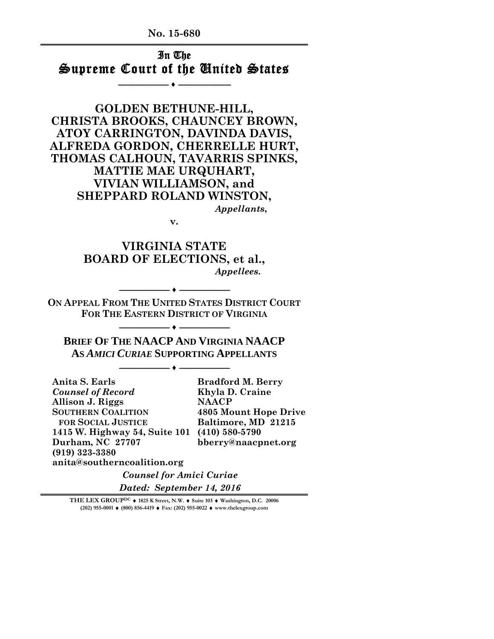# In The Supreme Court of the United States

**-------------------------- ♦ ---------------------------**

## **GOLDEN BETHUNE-HILL, CHRISTA BROOKS, CHAUNCEY BROWN, ATOY CARRINGTON, DAVINDA DAVIS, ALFREDA GORDON, CHERRELLE HURT, THOMAS CALHOUN, TAVARRIS SPINKS, MATTIE MAE URQUHART, VIVIAN WILLIAMSON, and SHEPPARD ROLAND WINSTON,**  *Appellants***,**

**v.**

## **VIRGINIA STATE BOARD OF ELECTIONS, et al.,** *Appellees***.**

**ON APPEAL FROM THE UNITED STATES DISTRICT COURT FOR THE EASTERN DISTRICT OF VIRGINIA**

**-------------------------- ♦ --------------------------**

**-------------------------- ♦ --------------------------**

**BRIEF OF THE NAACP AND VIRGINIA NAACP AS** *AMICI CURIAE* **SUPPORTING APPELLANTS**

**-------------------------- ♦ --------------------------**

**Anita S. Earls Bradford M. Berry**<br> **Counsel of Record Bradford Khyla D. Craine** *Counsel of Record* **Allison J. Riggs NAACP SOUTHERN COALITION 4805 Mount Hope Drive 1415 W. Highway 54, Suite 101 (410) 580-5790 Durham, NC 27707 bberry@naacpnet.org (919) 323-3380 anita@southerncoalition.org**

**Baltimore, MD 21215** 

*Counsel for Amici Curiae Dated: September 14, 2016*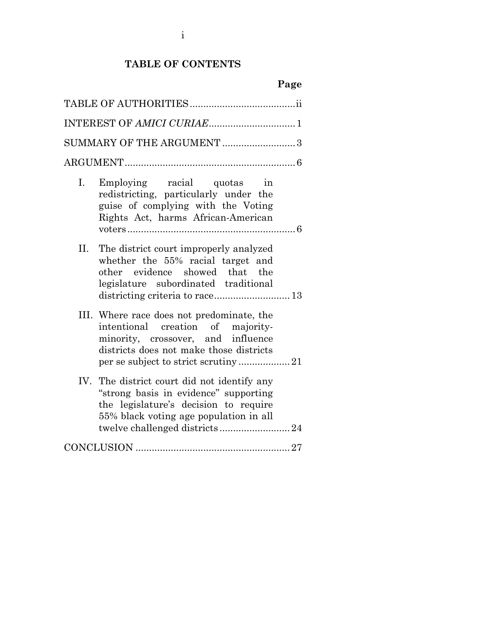## **TABLE OF CONTENTS**

# **Page**

|                           | INTEREST OF AMICI CURIAE1                                                                                                                                           |  |
|---------------------------|---------------------------------------------------------------------------------------------------------------------------------------------------------------------|--|
| SUMMARY OF THE ARGUMENT 3 |                                                                                                                                                                     |  |
|                           |                                                                                                                                                                     |  |
| $\mathbf{I}$ .            | Employing racial quotas in<br>redistricting, particularly under the<br>guise of complying with the Voting<br>Rights Act, harms African-American                     |  |
| П.                        | The district court improperly analyzed<br>whether the 55% racial target and<br>other evidence showed that the<br>legislature subordinated traditional               |  |
|                           | III. Where race does not predominate, the<br>intentional creation of majority-<br>minority, crossover, and influence<br>districts does not make those districts     |  |
| IV.                       | The district court did not identify any<br>"strong basis in evidence" supporting<br>the legislature's decision to require<br>55% black voting age population in all |  |
|                           |                                                                                                                                                                     |  |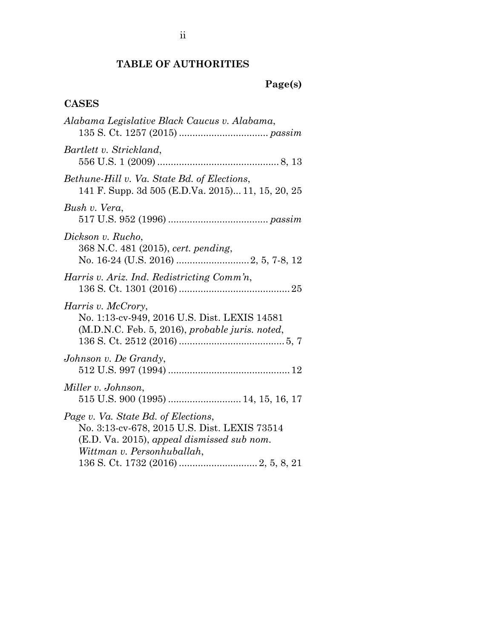# **TABLE OF AUTHORITIES**

# **Page(s)**

## **CASES**

| Alabama Legislative Black Caucus v. Alabama,                                                                                                                    |
|-----------------------------------------------------------------------------------------------------------------------------------------------------------------|
| Bartlett v. Strickland,                                                                                                                                         |
| Bethune-Hill v. Va. State Bd. of Elections,<br>141 F. Supp. 3d 505 (E.D.Va. 2015) 11, 15, 20, 25                                                                |
| Bush v. Vera,                                                                                                                                                   |
| Dickson v. Rucho,<br>368 N.C. 481 (2015), cert. pending,                                                                                                        |
| Harris v. Ariz. Ind. Redistricting Comm'n,                                                                                                                      |
| Harris v. McCrory,<br>No. 1:13-cv-949, 2016 U.S. Dist. LEXIS 14581<br>(M.D.N.C. Feb. 5, 2016), probable juris. noted,                                           |
| Johnson v. De Grandy,                                                                                                                                           |
| Miller v. Johnson,<br>515 U.S. 900 (1995)  14, 15, 16, 17                                                                                                       |
| Page v. Va. State Bd. of Elections,<br>No. 3:13-cv-678, 2015 U.S. Dist. LEXIS 73514<br>(E.D. Va. 2015), appeal dismissed sub nom.<br>Wittman v. Personhuballah, |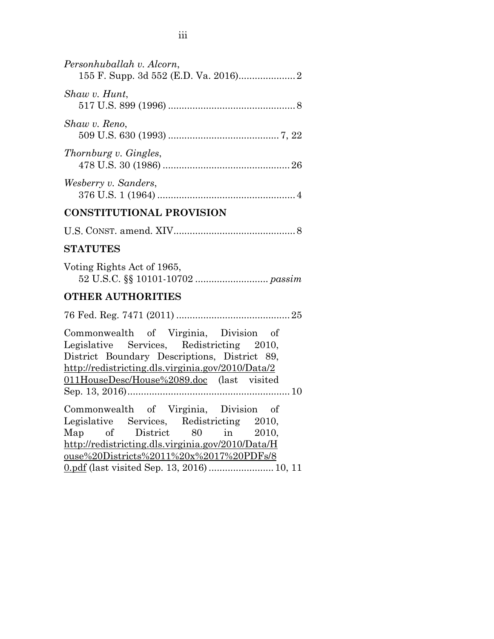| Personhuballah v. Alcorn,                                                                                                                                                                                                            |
|--------------------------------------------------------------------------------------------------------------------------------------------------------------------------------------------------------------------------------------|
| Shaw v. Hunt,                                                                                                                                                                                                                        |
| Shaw v. Reno,                                                                                                                                                                                                                        |
| Thornburg v. Gingles,                                                                                                                                                                                                                |
| Wesberry v. Sanders,                                                                                                                                                                                                                 |
| <b>CONSTITUTIONAL PROVISION</b>                                                                                                                                                                                                      |
|                                                                                                                                                                                                                                      |
| <b>STATUTES</b>                                                                                                                                                                                                                      |
| Voting Rights Act of 1965,                                                                                                                                                                                                           |
| <b>OTHER AUTHORITIES</b>                                                                                                                                                                                                             |
|                                                                                                                                                                                                                                      |
| Commonwealth of Virginia, Division of<br>Legislative Services, Redistricting 2010,<br>District Boundary Descriptions, District 89,<br>http://redistricting.dls.virginia.gov/2010/Data/2<br>011HouseDesc/House%2089.doc (last visited |
| Commonwealth of Virginia, Division of<br>Legislative Services, Redistricting 2010,<br>Map of District 80 in 2010,<br>http://redistricting.dls.virginia.gov/2010/Data/H<br>ouse%20Districts%2011%20x%2017%20PDFs/8                    |
|                                                                                                                                                                                                                                      |
|                                                                                                                                                                                                                                      |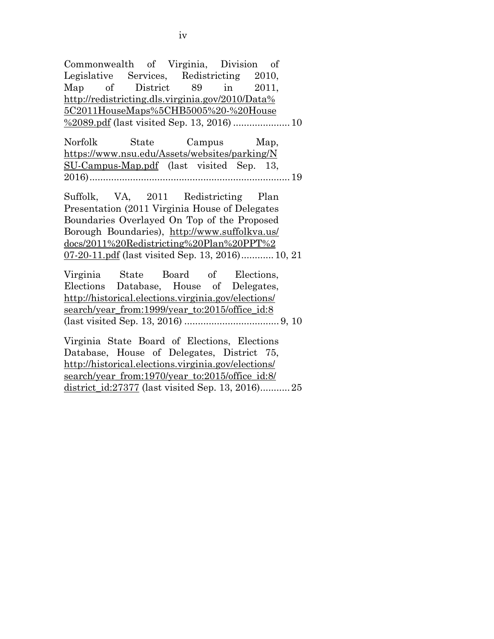Commonwealth of Virginia, Division of Legislative Services, Redistricting 2010, Map of District 89 in 2011, [http://redistricting.dls.virginia.gov/2010/Data%](http://redistricting.dls.virginia.gov/2010/Data%5C2011HouseMaps%5CHB5005%20-%20House%2089.pdf) [5C2011HouseMaps%5CHB5005%20-%20House](http://redistricting.dls.virginia.gov/2010/Data%5C2011HouseMaps%5CHB5005%20-%20House%2089.pdf) [%2089.pdf](http://redistricting.dls.virginia.gov/2010/Data%5C2011HouseMaps%5CHB5005%20-%20House%2089.pdf) (last visited Sep. 13, 2016) .....................10

Norfolk State Campus Map, https://www.nsu.edu/Assets/websites/parking/N SU-Campus-Map.pdf (last visited Sep. 13, 2016)..........................................................................19

Suffolk, VA, 2011 Redistricting Plan Presentation (2011 Virginia House of Delegates Boundaries Overlayed On Top of the Proposed Borough Boundaries), [http://www.suffolkva.us/](http://www.suffolkva.us/docs/2011%20Redistricting%20Plan%20PPT%207-20-11.pdf) [docs/2011%20Redistricting%20Plan%20PPT%2](http://www.suffolkva.us/docs/2011%20Redistricting%20Plan%20PPT%207-20-11.pdf) [07-20-11.pdf](http://www.suffolkva.us/docs/2011%20Redistricting%20Plan%20PPT%207-20-11.pdf) (last visited Sep. 13, 2016)............ 10, 21

Virginia State Board of Elections, Elections Database, House of Delegates, [http://historical.elections.virginia.gov/elections/](http://historical.elections.virginia.gov/elections/search/year_from:1999/year_to:2015/office_id:8) [search/year\\_from:1999/year\\_to:2015/office\\_id:8](http://historical.elections.virginia.gov/elections/search/year_from:1999/year_to:2015/office_id:8) (last visited Sep. 13, 2016) ................................... 9, 10

Virginia State Board of Elections, Elections Database, House of Delegates, District 75, [http://historical.elections.virginia.gov/elections/](http://historical.elections.virginia.gov/elections/search/year_from:1970/year_to:2015/office_id:8/district_id:27377) [search/year\\_from:1970/year\\_to:2015/office\\_id:8/](http://historical.elections.virginia.gov/elections/search/year_from:1970/year_to:2015/office_id:8/district_id:27377) [district\\_id:27377](http://historical.elections.virginia.gov/elections/search/year_from:1970/year_to:2015/office_id:8/district_id:27377) (last visited Sep. 13, 2016)...........25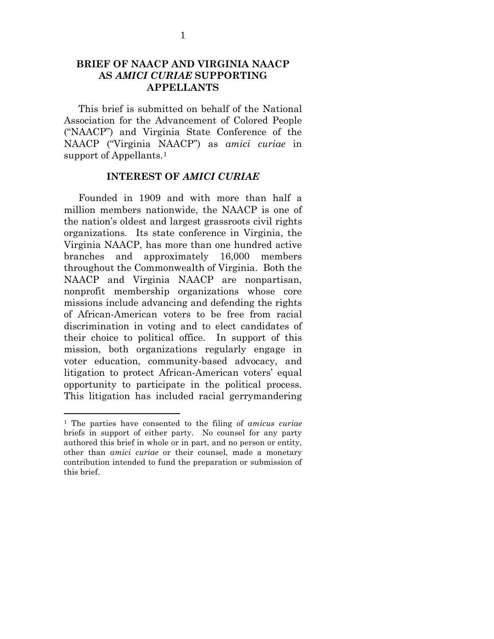### **BRIEF OF NAACP AND VIRGINIA NAACP AS** *AMICI CURIAE* **SUPPORTING APPELLANTS**

This brief is submitted on behalf of the National Association for the Advancement of Colored People ("NAACP") and Virginia State Conference of the NAACP ("Virginia NAACP") as *amici curiae* in support of Appellants.<sup>[1](#page-5-0)</sup>

### **INTEREST OF** *AMICI CURIAE*

Founded in 1909 and with more than half a million members nationwide, the NAACP is one of the nation's oldest and largest grassroots civil rights organizations. Its state conference in Virginia, the Virginia NAACP, has more than one hundred active branches and approximately 16,000 members throughout the Commonwealth of Virginia. Both the NAACP and Virginia NAACP are nonpartisan, nonprofit membership organizations whose core missions include advancing and defending the rights of African-American voters to be free from racial discrimination in voting and to elect candidates of their choice to political office. In support of this mission, both organizations regularly engage in voter education, community-based advocacy, and litigation to protect African-American voters' equal opportunity to participate in the political process. This litigation has included racial gerrymandering

**.** 

<span id="page-5-0"></span><sup>1</sup> The parties have consented to the filing of *amicus curiae* briefs in support of either party. No counsel for any party authored this brief in whole or in part, and no person or entity, other than *amici curiae* or their counsel, made a monetary contribution intended to fund the preparation or submission of this brief.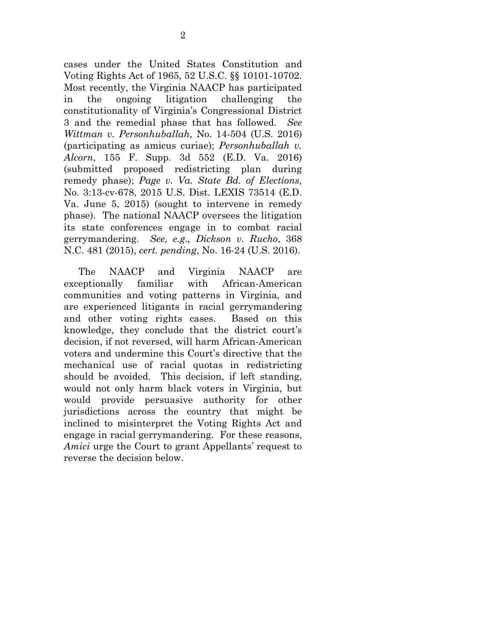cases under the United States Constitution and Voting Rights Act of 1965, 52 U.S.C. §§ 10101-10702. Most recently, the Virginia NAACP has participated in the ongoing litigation challenging the constitutionality of Virginia's Congressional District 3 and the remedial phase that has followed. *See Wittman v. Personhuballah*, No. 14-504 (U.S. 2016) (participating as amicus curiae); *Personhuballah v. Alcorn*, 155 F. Supp. 3d 552 (E.D. Va. 2016) (submitted proposed redistricting plan during remedy phase); *Page v. Va. State Bd. of Elections*, No. 3:13-cv-678, 2015 U.S. Dist. LEXIS 73514 (E.D. Va. June 5, 2015) (sought to intervene in remedy phase). The national NAACP oversees the litigation its state conferences engage in to combat racial gerrymandering. *See, e.g., Dickson v. Rucho*, 368 N.C. 481 (2015), *cert. pending*, No. 16-24 (U.S. 2016).

The NAACP and Virginia NAACP are exceptionally familiar with African-American communities and voting patterns in Virginia, and are experienced litigants in racial gerrymandering and other voting rights cases. Based on this knowledge, they conclude that the district court's decision, if not reversed, will harm African-American voters and undermine this Court's directive that the mechanical use of racial quotas in redistricting should be avoided. This decision, if left standing, would not only harm black voters in Virginia, but would provide persuasive authority for other jurisdictions across the country that might be inclined to misinterpret the Voting Rights Act and engage in racial gerrymandering. For these reasons, *Amici* urge the Court to grant Appellants' request to reverse the decision below.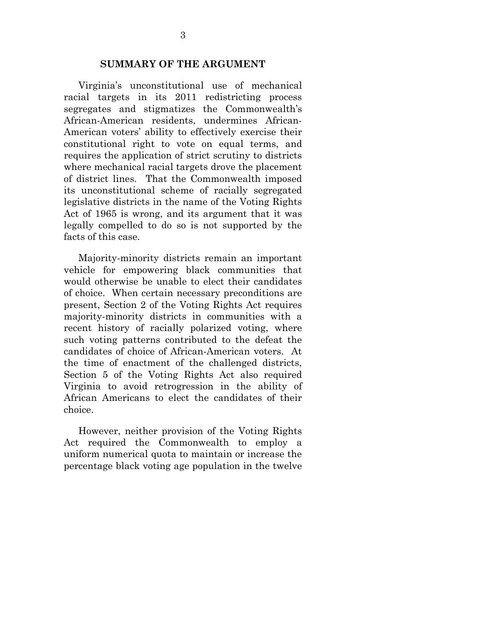#### **SUMMARY OF THE ARGUMENT**

Virginia's unconstitutional use of mechanical racial targets in its 2011 redistricting process segregates and stigmatizes the Commonwealth's African-American residents, undermines African-American voters' ability to effectively exercise their constitutional right to vote on equal terms, and requires the application of strict scrutiny to districts where mechanical racial targets drove the placement of district lines. That the Commonwealth imposed its unconstitutional scheme of racially segregated legislative districts in the name of the Voting Rights Act of 1965 is wrong, and its argument that it was legally compelled to do so is not supported by the facts of this case.

Majority-minority districts remain an important vehicle for empowering black communities that would otherwise be unable to elect their candidates of choice. When certain necessary preconditions are present, Section 2 of the Voting Rights Act requires majority-minority districts in communities with a recent history of racially polarized voting, where such voting patterns contributed to the defeat the candidates of choice of African-American voters. At the time of enactment of the challenged districts, Section 5 of the Voting Rights Act also required Virginia to avoid retrogression in the ability of African Americans to elect the candidates of their choice.

However, neither provision of the Voting Rights Act required the Commonwealth to employ a uniform numerical quota to maintain or increase the percentage black voting age population in the twelve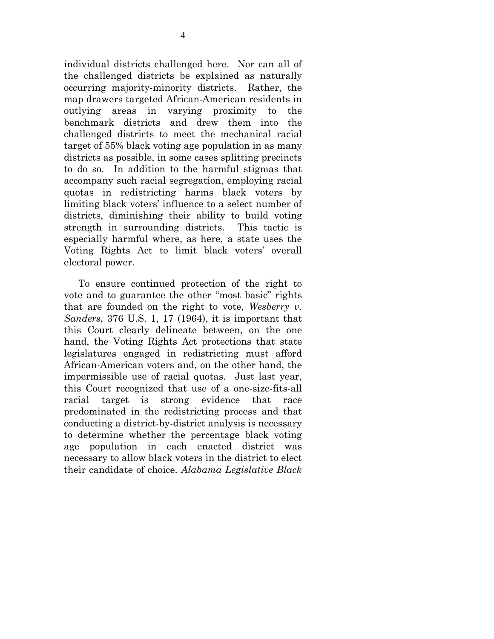individual districts challenged here. Nor can all of the challenged districts be explained as naturally occurring majority-minority districts. Rather, the map drawers targeted African-American residents in outlying areas in varying proximity to the benchmark districts and drew them into the challenged districts to meet the mechanical racial target of 55% black voting age population in as many districts as possible, in some cases splitting precincts to do so. In addition to the harmful stigmas that accompany such racial segregation, employing racial quotas in redistricting harms black voters by limiting black voters' influence to a select number of districts, diminishing their ability to build voting strength in surrounding districts. This tactic is especially harmful where, as here, a state uses the Voting Rights Act to limit black voters' overall electoral power.

To ensure continued protection of the right to vote and to guarantee the other "most basic" rights that are founded on the right to vote, *Wesberry v. Sanders*, 376 U.S. 1, 17 (1964), it is important that this Court clearly delineate between, on the one hand, the Voting Rights Act protections that state legislatures engaged in redistricting must afford African-American voters and, on the other hand, the impermissible use of racial quotas. Just last year, this Court recognized that use of a one-size-fits-all racial target is strong evidence that race predominated in the redistricting process and that conducting a district-by-district analysis is necessary to determine whether the percentage black voting age population in each enacted district was necessary to allow black voters in the district to elect their candidate of choice. *Alabama Legislative Black*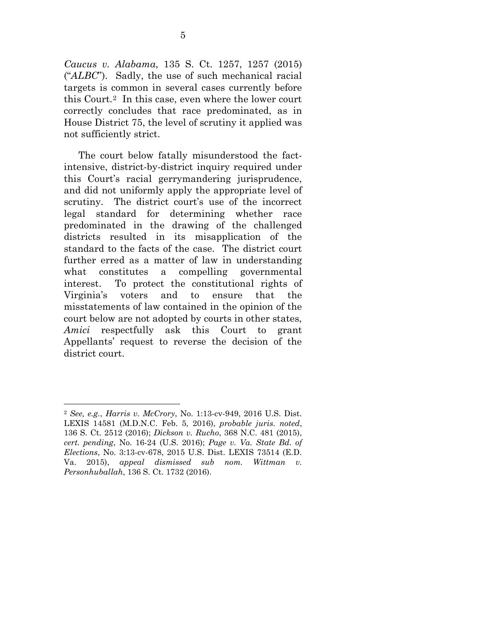*Caucus v. Alabama*, 135 S. Ct. 1257, 1257 (2015) ("*ALBC*"). Sadly, the use of such mechanical racial targets is common in several cases currently before this Court.[2](#page-9-0) In this case, even where the lower court correctly concludes that race predominated, as in House District 75, the level of scrutiny it applied was not sufficiently strict.

The court below fatally misunderstood the factintensive, district-by-district inquiry required under this Court's racial gerrymandering jurisprudence, and did not uniformly apply the appropriate level of scrutiny. The district court's use of the incorrect legal standard for determining whether race predominated in the drawing of the challenged districts resulted in its misapplication of the standard to the facts of the case. The district court further erred as a matter of law in understanding what constitutes a compelling governmental interest. To protect the constitutional rights of Virginia's voters and to ensure that the misstatements of law contained in the opinion of the court below are not adopted by courts in other states, *Amici* respectfully ask this Court to grant Appellants' request to reverse the decision of the district court.

**.** 

<span id="page-9-0"></span><sup>2</sup> *See, e.g.*, *Harris v. McCrory*, No. 1:13-cv-949, 2016 U.S. Dist. LEXIS 14581 (M.D.N.C. Feb. 5, 2016), *probable juris. noted*, 136 S. Ct. 2512 (2016); *Dickson v. Rucho*, 368 N.C. 481 (2015), *cert. pending*, No. 16-24 (U.S. 2016); *Page v. Va. State Bd. of Elections*, No. 3:13-cv-678, 2015 U.S. Dist. LEXIS 73514 (E.D. Va. 2015), *appeal dismissed sub nom. Wittman v. Personhuballah*, 136 S. Ct. 1732 (2016).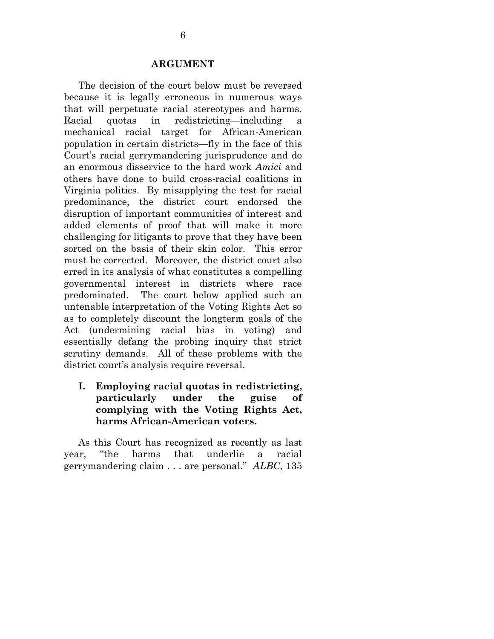#### **ARGUMENT**

The decision of the court below must be reversed because it is legally erroneous in numerous ways that will perpetuate racial stereotypes and harms. Racial quotas in redistricting—including a mechanical racial target for African-American population in certain districts—fly in the face of this Court's racial gerrymandering jurisprudence and do an enormous disservice to the hard work *Amici* and others have done to build cross-racial coalitions in Virginia politics. By misapplying the test for racial predominance, the district court endorsed the disruption of important communities of interest and added elements of proof that will make it more challenging for litigants to prove that they have been sorted on the basis of their skin color. This error must be corrected. Moreover, the district court also erred in its analysis of what constitutes a compelling governmental interest in districts where race predominated. The court below applied such an untenable interpretation of the Voting Rights Act so as to completely discount the longterm goals of the Act (undermining racial bias in voting) and essentially defang the probing inquiry that strict scrutiny demands. All of these problems with the district court's analysis require reversal.

### **I. Employing racial quotas in redistricting, particularly under the guise of complying with the Voting Rights Act, harms African-American voters.**

As this Court has recognized as recently as last year, "the harms that underlie a racial gerrymandering claim . . . are personal." *ALBC*, 135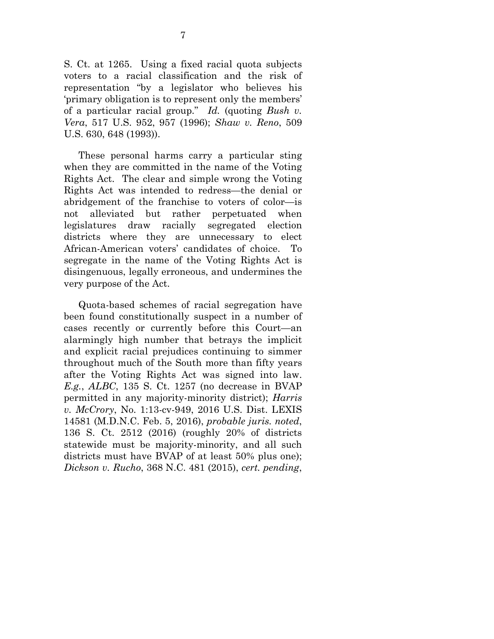S. Ct. at 1265. Using a fixed racial quota subjects voters to a racial classification and the risk of representation "by a legislator who believes his 'primary obligation is to represent only the members' of a particular racial group." *Id.* (quoting *Bush v. Vera*, 517 U.S. 952, 957 (1996); *Shaw v. Reno*, 509 U.S. 630, 648 (1993)).

These personal harms carry a particular sting when they are committed in the name of the Voting Rights Act. The clear and simple wrong the Voting Rights Act was intended to redress—the denial or abridgement of the franchise to voters of color—is not alleviated but rather perpetuated when legislatures draw racially segregated election districts where they are unnecessary to elect African-American voters' candidates of choice. To segregate in the name of the Voting Rights Act is disingenuous, legally erroneous, and undermines the very purpose of the Act.

Quota-based schemes of racial segregation have been found constitutionally suspect in a number of cases recently or currently before this Court—an alarmingly high number that betrays the implicit and explicit racial prejudices continuing to simmer throughout much of the South more than fifty years after the Voting Rights Act was signed into law. *E.g.*, *ALBC*, 135 S. Ct. 1257 (no decrease in BVAP permitted in any majority-minority district); *Harris v. McCrory*, No. 1:13-cv-949, 2016 U.S. Dist. LEXIS 14581 (M.D.N.C. Feb. 5, 2016), *probable juris. noted*, 136 S. Ct. 2512 (2016) (roughly 20% of districts statewide must be majority-minority, and all such districts must have BVAP of at least 50% plus one); *Dickson v. Rucho*, 368 N.C. 481 (2015), *cert. pending*,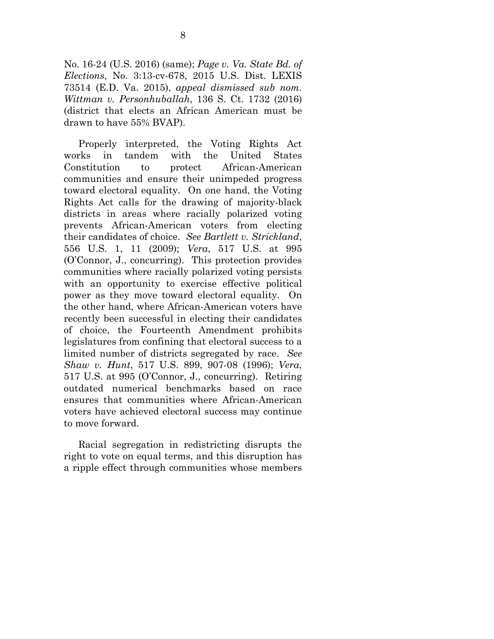No. 16-24 (U.S. 2016) (same); *Page v. Va. State Bd. of Elections*, No. 3:13-cv-678, 2015 U.S. Dist. LEXIS 73514 (E.D. Va. 2015), *appeal dismissed sub nom. Wittman v. Personhuballah*, 136 S. Ct. 1732 (2016) (district that elects an African American must be drawn to have 55% BVAP).

Properly interpreted, the Voting Rights Act works in tandem with the United States Constitution to protect African-American communities and ensure their unimpeded progress toward electoral equality. On one hand, the Voting Rights Act calls for the drawing of majority-black districts in areas where racially polarized voting prevents African-American voters from electing their candidates of choice. *See Bartlett v. Strickland*, 556 U.S. 1, 11 (2009); *Vera*, 517 U.S. at 995 (O'Connor, J., concurring). This protection provides communities where racially polarized voting persists with an opportunity to exercise effective political power as they move toward electoral equality. On the other hand, where African-American voters have recently been successful in electing their candidates of choice, the Fourteenth Amendment prohibits legislatures from confining that electoral success to a limited number of districts segregated by race. *See Shaw v. Hunt*, 517 U.S. 899, 907-08 (1996); *Vera*, 517 U.S. at 995 (O'Connor, J., concurring). Retiring outdated numerical benchmarks based on race ensures that communities where African-American voters have achieved electoral success may continue to move forward.

Racial segregation in redistricting disrupts the right to vote on equal terms, and this disruption has a ripple effect through communities whose members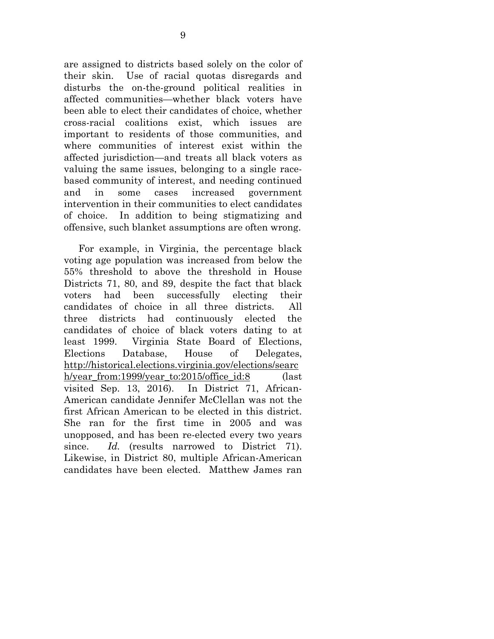are assigned to districts based solely on the color of their skin. Use of racial quotas disregards and disturbs the on-the-ground political realities in affected communities—whether black voters have been able to elect their candidates of choice, whether cross-racial coalitions exist, which issues are important to residents of those communities, and where communities of interest exist within the affected jurisdiction—and treats all black voters as valuing the same issues, belonging to a single racebased community of interest, and needing continued and in some cases increased government intervention in their communities to elect candidates of choice. In addition to being stigmatizing and offensive, such blanket assumptions are often wrong.

For example, in Virginia, the percentage black voting age population was increased from below the 55% threshold to above the threshold in House Districts 71, 80, and 89, despite the fact that black voters had been successfully electing their candidates of choice in all three districts. All three districts had continuously elected the candidates of choice of black voters dating to at least 1999. Virginia State Board of Elections, Elections Database, House of Delegates, [http://historical.elections.virginia.gov/elections/searc](http://historical.elections.virginia.gov/elections/search/year_from:1999/year_to:2015/office_id:8) h/year from:1999/year to:2015/office  $id:8$  (last visited Sep. 13, 2016). In District 71, African-American candidate Jennifer McClellan was not the first African American to be elected in this district. She ran for the first time in 2005 and was unopposed, and has been re-elected every two years since. *Id.* (results narrowed to District 71). Likewise, in District 80, multiple African-American candidates have been elected. Matthew James ran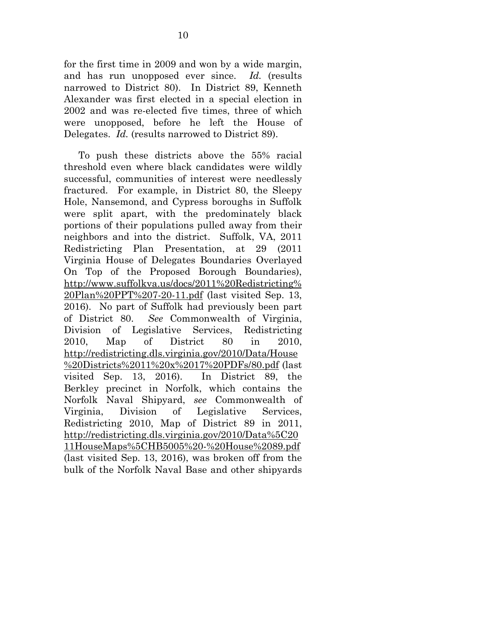for the first time in 2009 and won by a wide margin, and has run unopposed ever since. *Id.* (results narrowed to District 80). In District 89, Kenneth Alexander was first elected in a special election in 2002 and was re-elected five times, three of which were unopposed, before he left the House of Delegates. *Id.* (results narrowed to District 89).

To push these districts above the 55% racial threshold even where black candidates were wildly successful, communities of interest were needlessly fractured. For example, in District 80, the Sleepy Hole, Nansemond, and Cypress boroughs in Suffolk were split apart, with the predominately black portions of their populations pulled away from their neighbors and into the district. Suffolk, VA, 2011 Redistricting Plan Presentation, at 29 (2011 Virginia House of Delegates Boundaries Overlayed On Top of the Proposed Borough Boundaries), [http://www.suffolkva.us/docs/2011%20Redistricting%](http://www.suffolkva.us/docs/2011%20Redistricting%20Plan%20PPT%207-20-11.pdf) [20Plan%20PPT%207-20-11.pdf](http://www.suffolkva.us/docs/2011%20Redistricting%20Plan%20PPT%207-20-11.pdf) (last visited Sep. 13, 2016). No part of Suffolk had previously been part of District 80. *See* Commonwealth of Virginia, Division of Legislative Services, Redistricting 2010, Map of District 80 in 2010, [http://redistricting.dls.virginia.gov/2010/Data/House](http://redistricting.dls.virginia.gov/2010/Data/House%20Districts%2011%20x%2017%20PDFs/80.pdf) [%20Districts%2011%20x%2017%20PDFs/80.pdf](http://redistricting.dls.virginia.gov/2010/Data/House%20Districts%2011%20x%2017%20PDFs/80.pdf) (last visited Sep. 13, 2016). In District 89, the Berkley precinct in Norfolk, which contains the Norfolk Naval Shipyard, *see* Commonwealth of Virginia, Division of Legislative Services, Redistricting 2010, Map of District 89 in 2011, [http://redistricting.dls.virginia.gov/2010/Data%5C20](http://redistricting.dls.virginia.gov/2010/Data%5C2011HouseMaps%5CHB5005%20-%20House%2089.pdf) [11HouseMaps%5CHB5005%20-%20House%2089.pdf](http://redistricting.dls.virginia.gov/2010/Data%5C2011HouseMaps%5CHB5005%20-%20House%2089.pdf) (last visited Sep. 13, 2016), was broken off from the bulk of the Norfolk Naval Base and other shipyards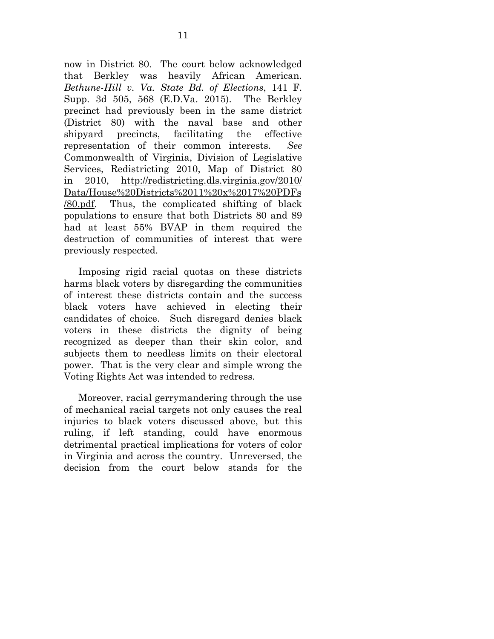now in District 80. The court below acknowledged that Berkley was heavily African American. *Bethune-Hill v. Va. State Bd. of Elections*, 141 F. Supp. 3d 505, 568 (E.D.Va. 2015). The Berkley precinct had previously been in the same district (District 80) with the naval base and other shipyard precincts, facilitating the effective representation of their common interests. *See* Commonwealth of Virginia, Division of Legislative Services, Redistricting 2010, Map of District 80 in 2010, [http://redistricting.dls.virginia.gov/2010/](http://redistricting.dls.virginia.gov/2010/Data/House%20Districts%2011%20x%2017%20PDFs/80.pdf) [Data/House%20Districts%2011%20x%2017%20PDFs](http://redistricting.dls.virginia.gov/2010/Data/House%20Districts%2011%20x%2017%20PDFs/80.pdf) [/80.pdf.](http://redistricting.dls.virginia.gov/2010/Data/House%20Districts%2011%20x%2017%20PDFs/80.pdf) Thus, the complicated shifting of black populations to ensure that both Districts 80 and 89 had at least 55% BVAP in them required the destruction of communities of interest that were previously respected.

Imposing rigid racial quotas on these districts harms black voters by disregarding the communities of interest these districts contain and the success black voters have achieved in electing their candidates of choice. Such disregard denies black voters in these districts the dignity of being recognized as deeper than their skin color, and subjects them to needless limits on their electoral power. That is the very clear and simple wrong the Voting Rights Act was intended to redress.

Moreover, racial gerrymandering through the use of mechanical racial targets not only causes the real injuries to black voters discussed above, but this ruling, if left standing, could have enormous detrimental practical implications for voters of color in Virginia and across the country. Unreversed, the decision from the court below stands for the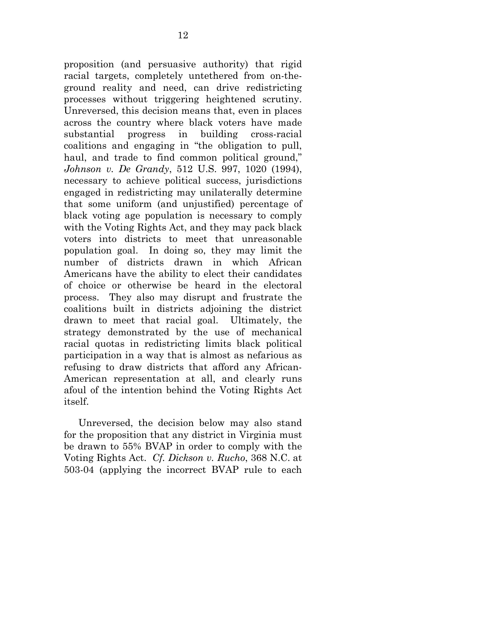proposition (and persuasive authority) that rigid racial targets, completely untethered from on-theground reality and need, can drive redistricting processes without triggering heightened scrutiny. Unreversed, this decision means that, even in places across the country where black voters have made substantial progress in building cross-racial coalitions and engaging in "the obligation to pull, haul, and trade to find common political ground," *Johnson v. De Grandy*, 512 U.S. 997, 1020 (1994), necessary to achieve political success, jurisdictions engaged in redistricting may unilaterally determine that some uniform (and unjustified) percentage of black voting age population is necessary to comply with the Voting Rights Act, and they may pack black voters into districts to meet that unreasonable population goal. In doing so, they may limit the number of districts drawn in which African Americans have the ability to elect their candidates of choice or otherwise be heard in the electoral process. They also may disrupt and frustrate the coalitions built in districts adjoining the district drawn to meet that racial goal. Ultimately, the strategy demonstrated by the use of mechanical racial quotas in redistricting limits black political participation in a way that is almost as nefarious as refusing to draw districts that afford any African-American representation at all, and clearly runs afoul of the intention behind the Voting Rights Act itself.

Unreversed, the decision below may also stand for the proposition that any district in Virginia must be drawn to 55% BVAP in order to comply with the Voting Rights Act. *Cf. Dickson v. Rucho*, 368 N.C. at 503-04 (applying the incorrect BVAP rule to each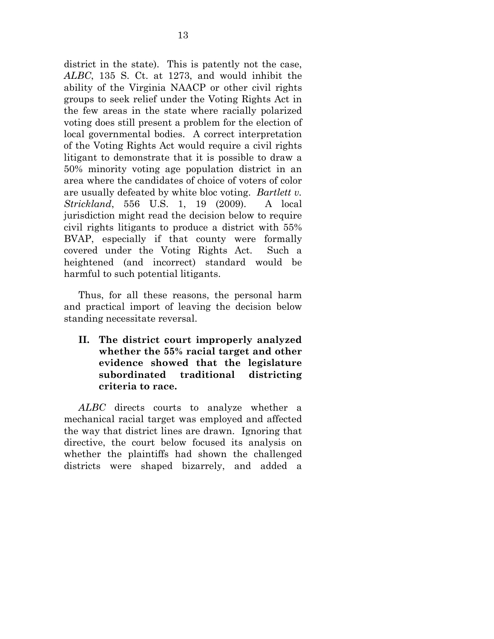district in the state). This is patently not the case, *ALBC*, 135 S. Ct. at 1273, and would inhibit the ability of the Virginia NAACP or other civil rights groups to seek relief under the Voting Rights Act in the few areas in the state where racially polarized voting does still present a problem for the election of local governmental bodies. A correct interpretation of the Voting Rights Act would require a civil rights litigant to demonstrate that it is possible to draw a 50% minority voting age population district in an area where the candidates of choice of voters of color are usually defeated by white bloc voting. *Bartlett v. Strickland*, 556 U.S. 1, 19 (2009). A local jurisdiction might read the decision below to require civil rights litigants to produce a district with 55% BVAP, especially if that county were formally covered under the Voting Rights Act. Such a heightened (and incorrect) standard would be harmful to such potential litigants.

Thus, for all these reasons, the personal harm and practical import of leaving the decision below standing necessitate reversal.

**II. The district court improperly analyzed whether the 55% racial target and other evidence showed that the legislature subordinated traditional districting criteria to race.**

*ALBC* directs courts to analyze whether a mechanical racial target was employed and affected the way that district lines are drawn. Ignoring that directive, the court below focused its analysis on whether the plaintiffs had shown the challenged districts were shaped bizarrely, and added a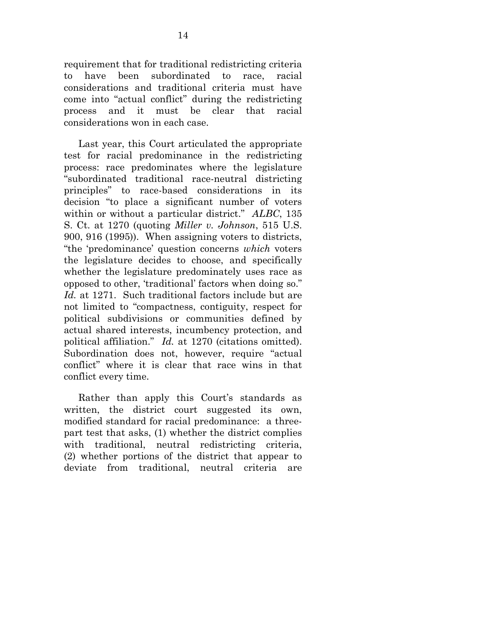requirement that for traditional redistricting criteria to have been subordinated to race, racial considerations and traditional criteria must have come into "actual conflict" during the redistricting process and it must be clear that racial considerations won in each case.

Last year, this Court articulated the appropriate test for racial predominance in the redistricting process: race predominates where the legislature "subordinated traditional race-neutral districting principles" to race-based considerations in its decision "to place a significant number of voters within or without a particular district." *ALBC*, 135 S. Ct. at 1270 (quoting *Miller v. Johnson*, 515 U.S. 900, 916 (1995)). When assigning voters to districts, "the 'predominance' question concerns *which* voters the legislature decides to choose, and specifically whether the legislature predominately uses race as opposed to other, 'traditional' factors when doing so." *Id.* at 1271. Such traditional factors include but are not limited to "compactness, contiguity, respect for political subdivisions or communities defined by actual shared interests, incumbency protection, and political affiliation." *Id.* at 1270 (citations omitted). Subordination does not, however, require "actual" conflict" where it is clear that race wins in that conflict every time.

Rather than apply this Court's standards as written, the district court suggested its own, modified standard for racial predominance: a threepart test that asks, (1) whether the district complies with traditional, neutral redistricting criteria, (2) whether portions of the district that appear to deviate from traditional, neutral criteria are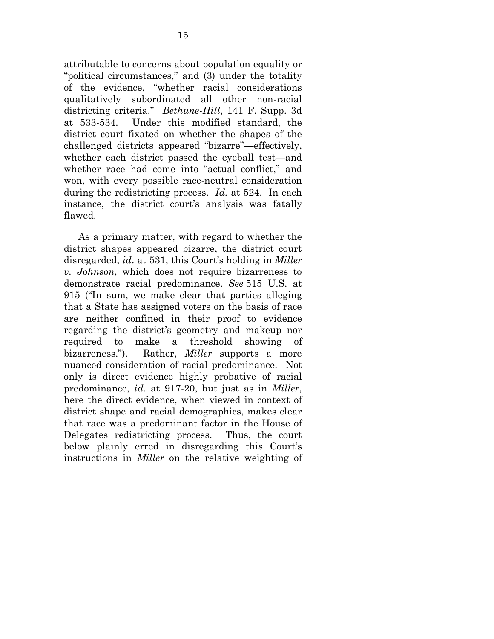attributable to concerns about population equality or "political circumstances," and (3) under the totality of the evidence, "whether racial considerations qualitatively subordinated all other non-racial districting criteria." *Bethune-Hill*, 141 F. Supp. 3d at 533-534. Under this modified standard, the district court fixated on whether the shapes of the challenged districts appeared "bizarre"—effectively, whether each district passed the eyeball test—and whether race had come into "actual conflict," and won, with every possible race-neutral consideration during the redistricting process. *Id.* at 524. In each instance, the district court's analysis was fatally flawed.

As a primary matter, with regard to whether the district shapes appeared bizarre, the district court disregarded, *id*. at 531, this Court's holding in *Miller v. Johnson*, which does not require bizarreness to demonstrate racial predominance. *See* 515 U.S. at 915 ("In sum, we make clear that parties alleging that a State has assigned voters on the basis of race are neither confined in their proof to evidence regarding the district's geometry and makeup nor required to make a threshold showing of bizarreness."). Rather, *Miller* supports a more nuanced consideration of racial predominance. Not only is direct evidence highly probative of racial predominance, *id*. at 917-20, but just as in *Miller*, here the direct evidence, when viewed in context of district shape and racial demographics, makes clear that race was a predominant factor in the House of Delegates redistricting process. Thus, the court below plainly erred in disregarding this Court's instructions in *Miller* on the relative weighting of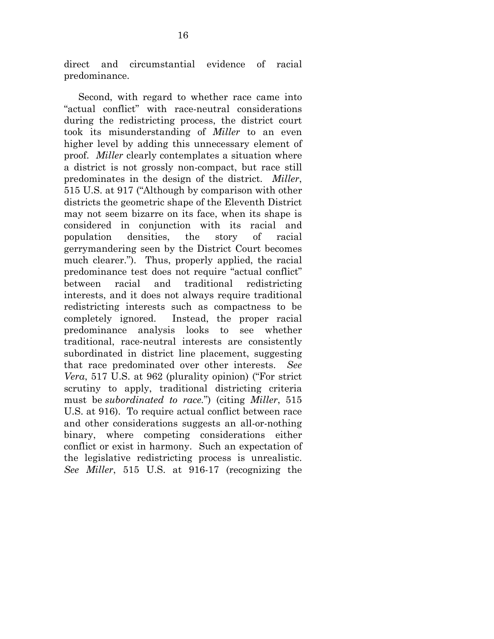direct and circumstantial evidence of racial predominance.

Second, with regard to whether race came into "actual conflict" with race-neutral considerations during the redistricting process, the district court took its misunderstanding of *Miller* to an even higher level by adding this unnecessary element of proof. *Miller* clearly contemplates a situation where a district is not grossly non-compact, but race still predominates in the design of the district. *Miller*, 515 U.S. at 917 ("Although by comparison with other districts the geometric shape of the Eleventh District may not seem bizarre on its face, when its shape is considered in conjunction with its racial and population densities, the story of racial gerrymandering seen by the District Court becomes much clearer."). Thus, properly applied, the racial predominance test does not require "actual conflict" between racial and traditional redistricting interests, and it does not always require traditional redistricting interests such as compactness to be completely ignored. Instead, the proper racial predominance analysis looks to see whether traditional, race-neutral interests are consistently subordinated in district line placement, suggesting that race predominated over other interests. *See Vera*, 517 U.S. at 962 (plurality opinion) ("For strict scrutiny to apply, traditional districting criteria must be *subordinated to race.*") (citing *Miller*, 515 U.S. at 916). To require actual conflict between race and other considerations suggests an all-or-nothing binary, where competing considerations either conflict or exist in harmony. Such an expectation of the legislative redistricting process is unrealistic. *See Miller*, 515 U.S. at 916-17 (recognizing the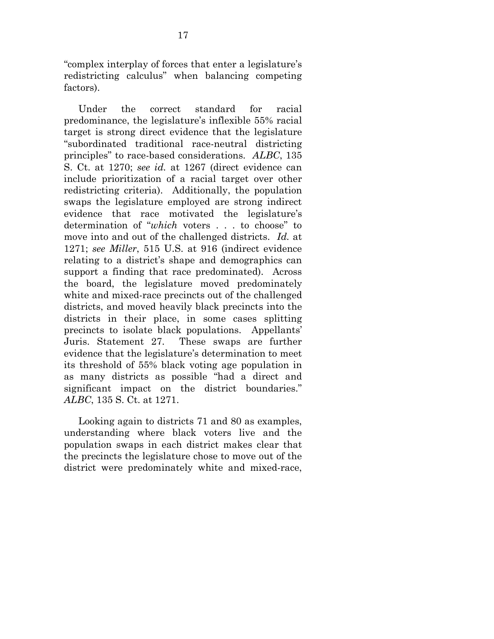"complex interplay of forces that enter a legislature's redistricting calculus" when balancing competing factors).

Under the correct standard for racial predominance, the legislature's inflexible 55% racial target is strong direct evidence that the legislature "subordinated traditional race-neutral districting principles" to race-based considerations. *ALBC*, 135 S. Ct. at 1270; *see id.* at 1267 (direct evidence can include prioritization of a racial target over other redistricting criteria). Additionally, the population swaps the legislature employed are strong indirect evidence that race motivated the legislature's determination of "*which* voters . . . to choose" to move into and out of the challenged districts. *Id.* at 1271; *see Miller*, 515 U.S. at 916 (indirect evidence relating to a district's shape and demographics can support a finding that race predominated). Across the board, the legislature moved predominately white and mixed-race precincts out of the challenged districts, and moved heavily black precincts into the districts in their place, in some cases splitting precincts to isolate black populations. Appellants' Juris. Statement 27. These swaps are further evidence that the legislature's determination to meet its threshold of 55% black voting age population in as many districts as possible "had a direct and significant impact on the district boundaries." *ALBC*, 135 S. Ct. at 1271.

Looking again to districts 71 and 80 as examples, understanding where black voters live and the population swaps in each district makes clear that the precincts the legislature chose to move out of the district were predominately white and mixed-race,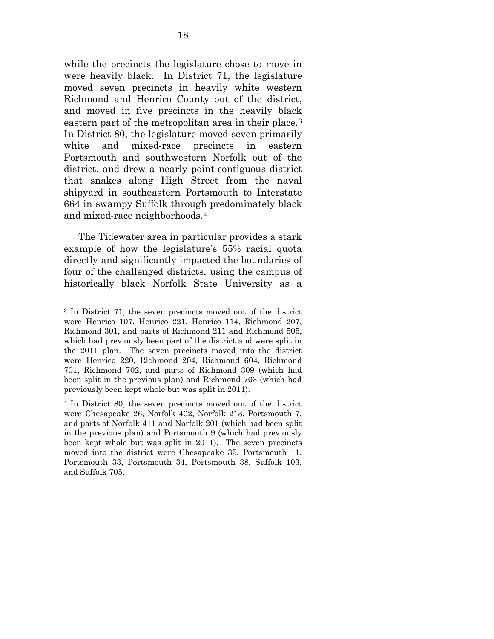while the precincts the legislature chose to move in were heavily black. In District 71, the legislature moved seven precincts in heavily white western Richmond and Henrico County out of the district, and moved in five precincts in the heavily black eastern part of the metropolitan area in their place.<sup>[3](#page-22-0)</sup> In District 80, the legislature moved seven primarily white and mixed-race precincts in eastern Portsmouth and southwestern Norfolk out of the district, and drew a nearly point-contiguous district that snakes along High Street from the naval shipyard in southeastern Portsmouth to Interstate 664 in swampy Suffolk through predominately black and mixed-race neighborhoods.[4](#page-22-1)

The Tidewater area in particular provides a stark example of how the legislature's 55% racial quota directly and significantly impacted the boundaries of four of the challenged districts, using the campus of historically black Norfolk State University as a

1

<span id="page-22-0"></span><sup>3</sup> In District 71, the seven precincts moved out of the district were Henrico 107, Henrico 221, Henrico 114, Richmond 207, Richmond 301, and parts of Richmond 211 and Richmond 505, which had previously been part of the district and were split in the 2011 plan. The seven precincts moved into the district were Henrico 220, Richmond 204, Richmond 604, Richmond 701, Richmond 702, and parts of Richmond 309 (which had been split in the previous plan) and Richmond 703 (which had previously been kept whole but was split in 2011).

<span id="page-22-1"></span><sup>4</sup> In District 80, the seven precincts moved out of the district were Chesapeake 26, Norfolk 402, Norfolk 213, Portsmouth 7, and parts of Norfolk 411 and Norfolk 201 (which had been split in the previous plan) and Portsmouth 9 (which had previously been kept whole but was split in 2011). The seven precincts moved into the district were Chesapeake 35, Portsmouth 11, Portsmouth 33, Portsmouth 34, Portsmouth 38, Suffolk 103, and Suffolk 705.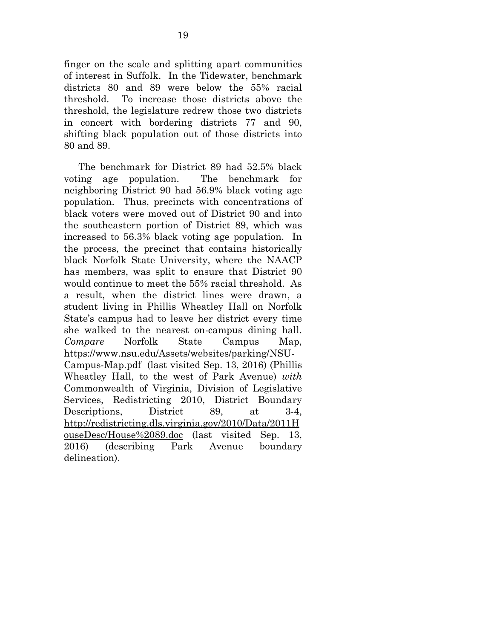finger on the scale and splitting apart communities of interest in Suffolk. In the Tidewater, benchmark districts 80 and 89 were below the 55% racial threshold. To increase those districts above the threshold, the legislature redrew those two districts in concert with bordering districts 77 and 90, shifting black population out of those districts into 80 and 89.

The benchmark for District 89 had 52.5% black voting age population. The benchmark for neighboring District 90 had 56.9% black voting age population. Thus, precincts with concentrations of black voters were moved out of District 90 and into the southeastern portion of District 89, which was increased to 56.3% black voting age population. In the process, the precinct that contains historically black Norfolk State University, where the NAACP has members, was split to ensure that District 90 would continue to meet the 55% racial threshold. As a result, when the district lines were drawn, a student living in Phillis Wheatley Hall on Norfolk State's campus had to leave her district every time she walked to the nearest on-campus dining hall. *Compare* Norfolk State Campus Map, https://www.nsu.edu/Assets/websites/parking/NSU-Campus-Map.pdf (last visited Sep. 13, 2016) (Phillis Wheatley Hall, to the west of Park Avenue) *with* Commonwealth of Virginia, Division of Legislative Services, Redistricting 2010, District Boundary Descriptions, District 89, at 3-4, [http://redistricting.dls.virginia.gov/2010/Data/2011H](http://redistricting.dls.virginia.gov/2010/Data/2011HouseDesc/House%2089.doc) [ouseDesc/House%2089.doc](http://redistricting.dls.virginia.gov/2010/Data/2011HouseDesc/House%2089.doc) (last visited Sep. 13, 2016) (describing Park Avenue boundary delineation).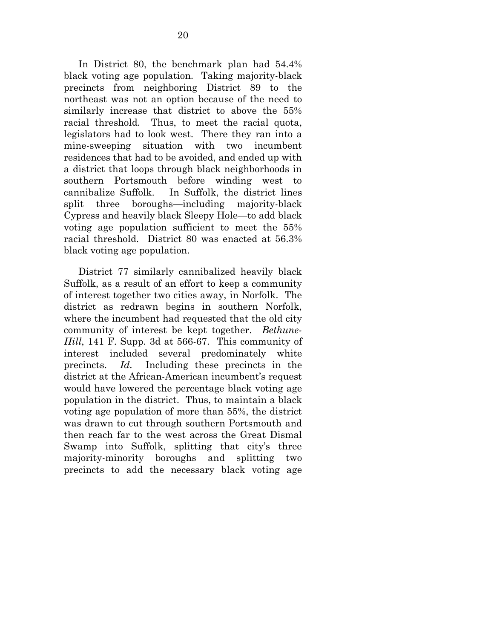In District 80, the benchmark plan had 54.4% black voting age population. Taking majority-black precincts from neighboring District 89 to the northeast was not an option because of the need to similarly increase that district to above the 55% racial threshold. Thus, to meet the racial quota, legislators had to look west. There they ran into a mine-sweeping situation with two incumbent residences that had to be avoided, and ended up with a district that loops through black neighborhoods in southern Portsmouth before winding west to cannibalize Suffolk. In Suffolk, the district lines split three boroughs—including majority-black Cypress and heavily black Sleepy Hole—to add black voting age population sufficient to meet the 55% racial threshold. District 80 was enacted at 56.3% black voting age population.

District 77 similarly cannibalized heavily black Suffolk, as a result of an effort to keep a community of interest together two cities away, in Norfolk. The district as redrawn begins in southern Norfolk, where the incumbent had requested that the old city community of interest be kept together. *Bethune-Hill*, 141 F. Supp. 3d at 566-67. This community of interest included several predominately white precincts. *Id.* Including these precincts in the district at the African-American incumbent's request would have lowered the percentage black voting age population in the district. Thus, to maintain a black voting age population of more than 55%, the district was drawn to cut through southern Portsmouth and then reach far to the west across the Great Dismal Swamp into Suffolk, splitting that city's three majority-minority boroughs and splitting two precincts to add the necessary black voting age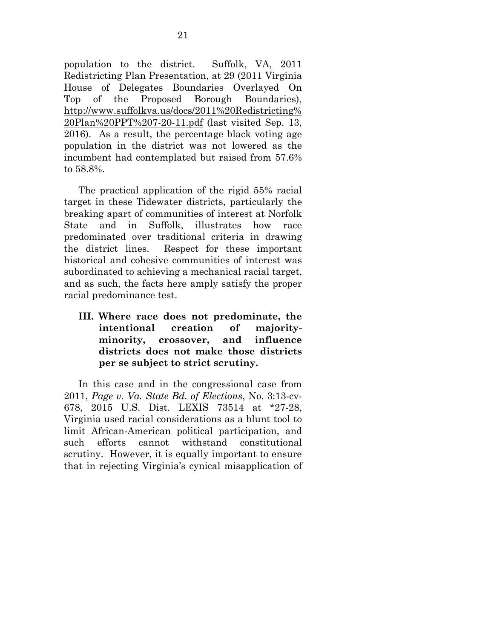population to the district. Suffolk, VA, 2011 Redistricting Plan Presentation, at 29 (2011 Virginia House of Delegates Boundaries Overlayed On Top of the Proposed Borough Boundaries), [http://www.suffolkva.us/docs/2011%20Redistricting%](http://www.suffolkva.us/docs/2011%20Redistricting%20Plan%20PPT%207-20-11.pdf) [20Plan%20PPT%207-20-11.pdf](http://www.suffolkva.us/docs/2011%20Redistricting%20Plan%20PPT%207-20-11.pdf) (last visited Sep. 13, 2016). As a result, the percentage black voting age population in the district was not lowered as the incumbent had contemplated but raised from 57.6% to 58.8%.

The practical application of the rigid 55% racial target in these Tidewater districts, particularly the breaking apart of communities of interest at Norfolk State and in Suffolk, illustrates how race predominated over traditional criteria in drawing the district lines. Respect for these important historical and cohesive communities of interest was subordinated to achieving a mechanical racial target, and as such, the facts here amply satisfy the proper racial predominance test.

**III. Where race does not predominate, the intentional creation of majorityminority, crossover, and influence districts does not make those districts per se subject to strict scrutiny.**

In this case and in the congressional case from 2011, *Page v. Va. State Bd. of Elections*, No. 3:13-cv-678, 2015 U.S. Dist. LEXIS 73514 at \*27-28, Virginia used racial considerations as a blunt tool to limit African-American political participation, and such efforts cannot withstand constitutional scrutiny. However, it is equally important to ensure that in rejecting Virginia's cynical misapplication of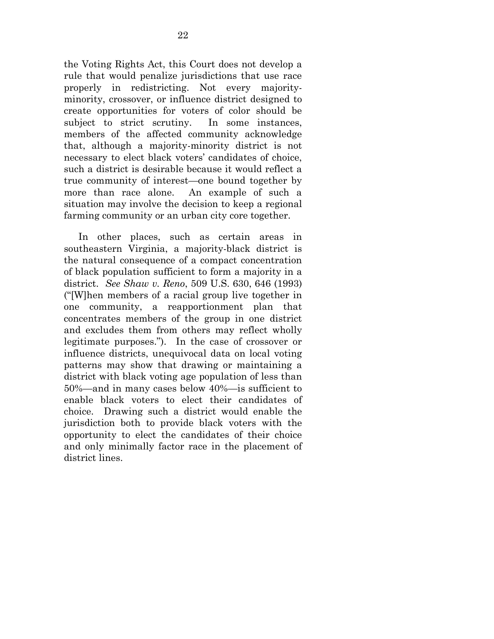the Voting Rights Act, this Court does not develop a rule that would penalize jurisdictions that use race properly in redistricting. Not every majorityminority, crossover, or influence district designed to create opportunities for voters of color should be subject to strict scrutiny. In some instances, members of the affected community acknowledge that, although a majority-minority district is not necessary to elect black voters' candidates of choice, such a district is desirable because it would reflect a true community of interest—one bound together by more than race alone. An example of such a situation may involve the decision to keep a regional farming community or an urban city core together.

In other places, such as certain areas in southeastern Virginia, a majority-black district is the natural consequence of a compact concentration of black population sufficient to form a majority in a district. *See Shaw v. Reno*, 509 U.S. 630, 646 (1993) ("[W]hen members of a racial group live together in one community, a reapportionment plan that concentrates members of the group in one district and excludes them from others may reflect wholly legitimate purposes."). In the case of crossover or influence districts, unequivocal data on local voting patterns may show that drawing or maintaining a district with black voting age population of less than 50%—and in many cases below 40%—is sufficient to enable black voters to elect their candidates of choice. Drawing such a district would enable the jurisdiction both to provide black voters with the opportunity to elect the candidates of their choice and only minimally factor race in the placement of district lines.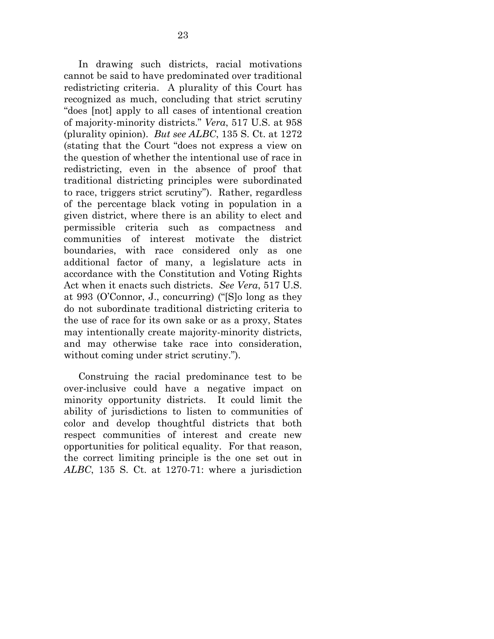In drawing such districts, racial motivations cannot be said to have predominated over traditional redistricting criteria. A plurality of this Court has recognized as much, concluding that strict scrutiny "does [not] apply to all cases of intentional creation of majority-minority districts." *Vera*, 517 U.S. at 958 (plurality opinion). *But see ALBC*, 135 S. Ct. at 1272 (stating that the Court "does not express a view on the question of whether the intentional use of race in redistricting, even in the absence of proof that traditional districting principles were subordinated to race, triggers strict scrutiny"). Rather, regardless of the percentage black voting in population in a given district, where there is an ability to elect and permissible criteria such as compactness and communities of interest motivate the district boundaries, with race considered only as one additional factor of many, a legislature acts in accordance with the Constitution and Voting Rights Act when it enacts such districts. *See Vera*, 517 U.S. at 993 (O'Connor, J., concurring) ("[S]o long as they do not subordinate traditional districting criteria to the use of race for its own sake or as a proxy, States may intentionally create majority-minority districts, and may otherwise take race into consideration, without coming under strict scrutiny.").

Construing the racial predominance test to be over-inclusive could have a negative impact on minority opportunity districts. It could limit the ability of jurisdictions to listen to communities of color and develop thoughtful districts that both respect communities of interest and create new opportunities for political equality. For that reason, the correct limiting principle is the one set out in *ALBC*, 135 S. Ct. at 1270-71: where a jurisdiction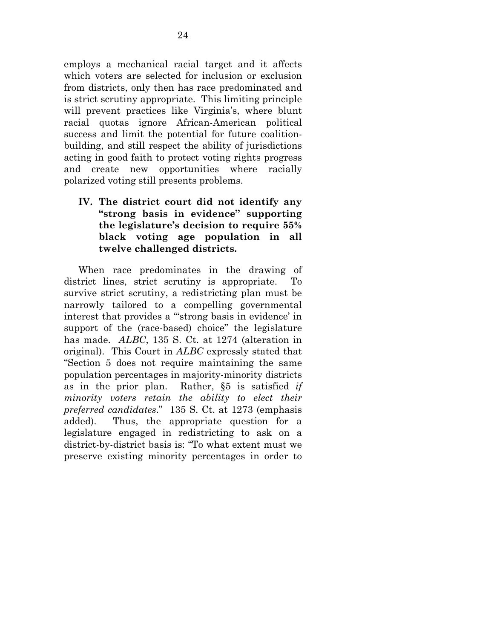employs a mechanical racial target and it affects which voters are selected for inclusion or exclusion from districts, only then has race predominated and is strict scrutiny appropriate. This limiting principle will prevent practices like Virginia's, where blunt racial quotas ignore African-American political success and limit the potential for future coalitionbuilding, and still respect the ability of jurisdictions acting in good faith to protect voting rights progress and create new opportunities where racially polarized voting still presents problems.

### **IV. The district court did not identify any "strong basis in evidence" supporting the legislature's decision to require 55% black voting age population in all twelve challenged districts.**

When race predominates in the drawing of district lines, strict scrutiny is appropriate. To survive strict scrutiny, a redistricting plan must be narrowly tailored to a compelling governmental interest that provides a "'strong basis in evidence' in support of the (race-based) choice" the legislature has made. *ALBC*, 135 S. Ct. at 1274 (alteration in original). This Court in *ALBC* expressly stated that "Section 5 does not require maintaining the same population percentages in majority-minority districts as in the prior plan. Rather, §5 is satisfied *if minority voters retain the ability to elect their preferred candidates*." 135 S. Ct. at 1273 (emphasis added). Thus, the appropriate question for a legislature engaged in redistricting to ask on a district-by-district basis is: "To what extent must we preserve existing minority percentages in order to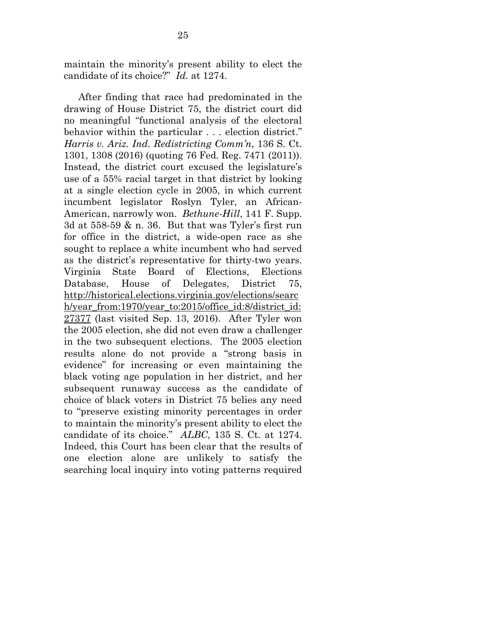maintain the minority's present ability to elect the candidate of its choice?" *Id.* at 1274.

After finding that race had predominated in the drawing of House District 75, the district court did no meaningful "functional analysis of the electoral behavior within the particular . . . election district." *Harris v. Ariz. Ind. Redistricting Comm'n*, 136 S. Ct. 1301, 1308 (2016) (quoting 76 Fed. Reg. 7471 (2011)). Instead, the district court excused the legislature's use of a 55% racial target in that district by looking at a single election cycle in 2005, in which current incumbent legislator Roslyn Tyler, an African-American, narrowly won. *Bethune-Hill*, 141 F. Supp. 3d at 558-59 & n. 36. But that was Tyler's first run for office in the district, a wide-open race as she sought to replace a white incumbent who had served as the district's representative for thirty-two years. Virginia State Board of Elections, Elections Database, House of Delegates, District 75, [http://historical.elections.virginia.gov/elections/searc](http://historical.elections.virginia.gov/elections/search/year_from:1970/year_to:2015/office_id:8/district_id:27377) [h/year\\_from:1970/year\\_to:2015/office\\_id:8/district\\_id:](http://historical.elections.virginia.gov/elections/search/year_from:1970/year_to:2015/office_id:8/district_id:27377) [27377](http://historical.elections.virginia.gov/elections/search/year_from:1970/year_to:2015/office_id:8/district_id:27377) (last visited Sep. 13, 2016). After Tyler won the 2005 election, she did not even draw a challenger in the two subsequent elections. The 2005 election results alone do not provide a "strong basis in evidence" for increasing or even maintaining the black voting age population in her district, and her subsequent runaway success as the candidate of choice of black voters in District 75 belies any need to "preserve existing minority percentages in order to maintain the minority's present ability to elect the candidate of its choice." *ALBC*, 135 S. Ct. at 1274. Indeed, this Court has been clear that the results of one election alone are unlikely to satisfy the searching local inquiry into voting patterns required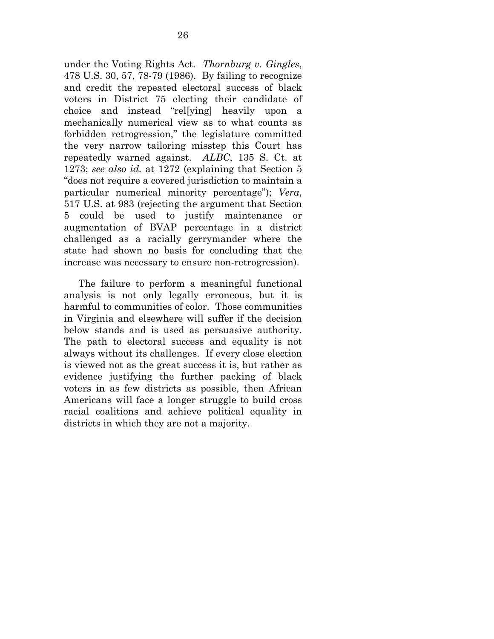under the Voting Rights Act. *Thornburg v. Gingles*, 478 U.S. 30, 57, 78-79 (1986). By failing to recognize and credit the repeated electoral success of black voters in District 75 electing their candidate of choice and instead "rel[ying] heavily upon a mechanically numerical view as to what counts as forbidden retrogression," the legislature committed the very narrow tailoring misstep this Court has repeatedly warned against. *ALBC*, 135 S. Ct. at 1273; *see also id.* at 1272 (explaining that Section 5 "does not require a covered jurisdiction to maintain a particular numerical minority percentage"); *Vera*, 517 U.S. at 983 (rejecting the argument that Section 5 could be used to justify maintenance or augmentation of BVAP percentage in a district challenged as a racially gerrymander where the state had shown no basis for concluding that the increase was necessary to ensure non-retrogression).

The failure to perform a meaningful functional analysis is not only legally erroneous, but it is harmful to communities of color. Those communities in Virginia and elsewhere will suffer if the decision below stands and is used as persuasive authority. The path to electoral success and equality is not always without its challenges. If every close election is viewed not as the great success it is, but rather as evidence justifying the further packing of black voters in as few districts as possible, then African Americans will face a longer struggle to build cross racial coalitions and achieve political equality in districts in which they are not a majority.